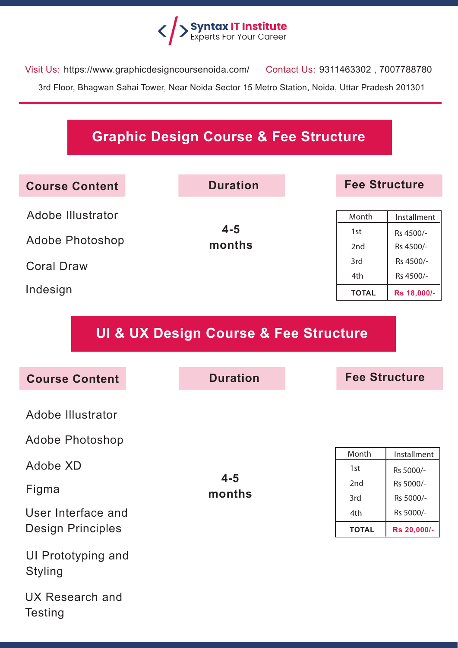

Visit Us: https://www.graphicdesigncoursenoida.com/ Contact Us: 9311463302 , 7007788780 3rd Floor, Bhagwan Sahai Tower, Near Noida Sector 15 Metro Station, Noida, Uttar Pradesh 201301

## **Graphic Design Course & Fee Structure**

| <b>Course Content</b> | <b>Duration</b>   | <b>Fee Structure</b>   |                        |
|-----------------------|-------------------|------------------------|------------------------|
| Adobe Illustrator     |                   | Month                  | Installment            |
| Adobe Photoshop       | $4 - 5$<br>months | 1st<br>2 <sub>nd</sub> | Rs 4500/-<br>Rs 4500/- |
| <b>Coral Draw</b>     |                   | 3rd<br>4th             | Rs 4500/-<br>Rs 4500/- |
| Indesign              |                   | <b>TOTAL</b>           | Rs 18,000/-            |

**UI & UX Design Course & Fee Structure**

| <b>Course Content</b>                | <b>Duration</b> |
|--------------------------------------|-----------------|
|                                      |                 |
| Adobe Illustrator                    |                 |
| <b>Adobe Photoshop</b>               |                 |
|                                      |                 |
| Adobe XD                             |                 |
| Figma                                | $4 - 5$         |
|                                      | months          |
| User Interface and                   |                 |
| <b>Design Principles</b>             |                 |
| UI Prototyping and<br><b>Styling</b> |                 |
| UX Research and<br><b>Testing</b>    |                 |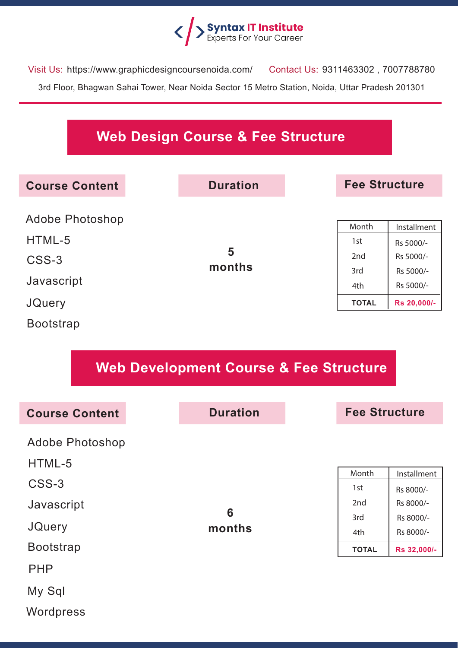

Visit Us: https://www.graphicdesigncoursenoida.com/ Contact Us: 9311463302 , 7007788780 3rd Floor, Bhagwan Sahai Tower, Near Noida Sector 15 Metro Station, Noida, Uttar Pradesh 201301

## **Web Design Course & Fee Structure**

| <b>Course Content</b>     | <b>Duration</b> |              | <b>Fee Structure</b>   |  |
|---------------------------|-----------------|--------------|------------------------|--|
| Adobe Photoshop<br>HTML-5 |                 | Month        | Installment            |  |
| CSS-3                     | 5<br>months     | 1st<br>2nd   | Rs 5000/-<br>Rs 5000/- |  |
| Javascript                |                 | 3rd<br>4th   | Rs 5000/-<br>Rs 5000/- |  |
| <b>JQuery</b>             |                 | <b>TOTAL</b> | Rs 20,000/-            |  |
| <b>Bootstrap</b>          |                 |              |                        |  |

## **Web Development Course & Fee Structure**

| <b>Course Content</b>            | <b>Duration</b> |              | <b>Fee Structure</b>   |  |
|----------------------------------|-----------------|--------------|------------------------|--|
| <b>Adobe Photoshop</b><br>HTML-5 |                 |              |                        |  |
| CSS-3                            |                 | Month        | Installment            |  |
|                                  |                 | 1st<br>2nd   | Rs 8000/-<br>Rs 8000/- |  |
| Javascript                       | 6               | 3rd          | Rs 8000/-              |  |
| <b>JQuery</b>                    | months          | 4th          | Rs 8000/-              |  |
| <b>Bootstrap</b>                 |                 | <b>TOTAL</b> | Rs 32,000/-            |  |
| <b>PHP</b>                       |                 |              |                        |  |
| My Sql                           |                 |              |                        |  |
| Wordpress                        |                 |              |                        |  |